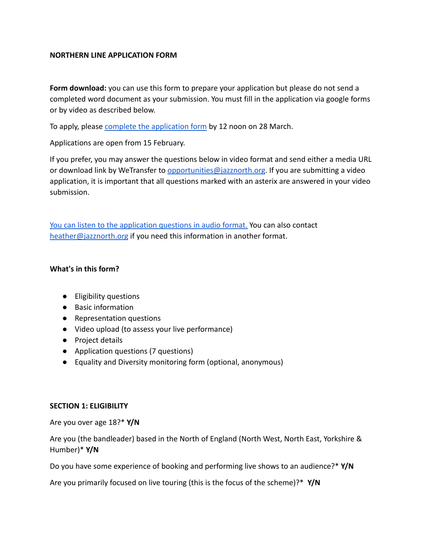### **NORTHERN LINE APPLICATION FORM**

**Form download:** you can use this form to prepare your application but please do not send a completed word document as your submission. You must fill in the application via google forms or by video as described below.

To apply, please [complete the application form](https://forms.gle/7NMUSFMtb9nQgNzBA) by 12 noon on 28 March.

Applications are open from 15 February.

If you prefer, you may answer the questions below in video format and send either a media URL or download link by WeTransfer to [opportunities@jazznorth.org](mailto:opportunities@jazznorth.org). If you are submitting a video application, it is important that all questions marked with an asterix are answered in your video submission.

[You can listen to the application questions in audio format.](https://vimeo.com/677295403) You can also contact [heather@jazznorth.org](mailto:heather@jazznorth.org) if you need this information in another format.

#### **What's in this form?**

- Eligibility questions
- Basic information
- Representation questions
- Video upload (to assess your live performance)
- Project details
- Application questions (7 questions)
- Equality and Diversity monitoring form (optional, anonymous)

#### **SECTION 1: ELIGIBILITY**

Are you over age 18?\* **Y/N**

Are you (the bandleader) based in the North of England (North West, North East, Yorkshire & Humber)\* **Y/N**

Do you have some experience of booking and performing live shows to an audience?\* **Y/N**

Are you primarily focused on live touring (this is the focus of the scheme)?\* **Y/N**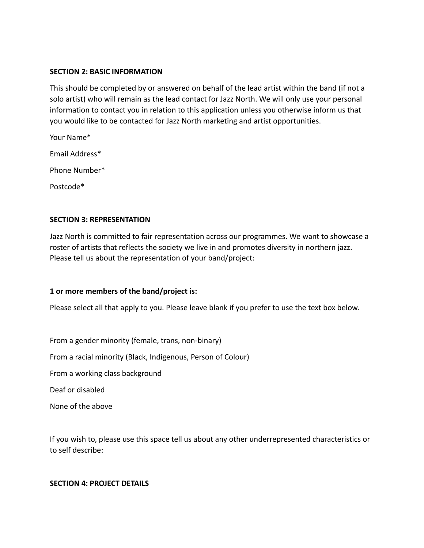#### **SECTION 2: BASIC INFORMATION**

This should be completed by or answered on behalf of the lead artist within the band (if not a solo artist) who will remain as the lead contact for Jazz North. We will only use your personal information to contact you in relation to this application unless you otherwise inform us that you would like to be contacted for Jazz North marketing and artist opportunities.

Your Name\* Email Address\* Phone Number\* Postcode\*

### **SECTION 3: REPRESENTATION**

Jazz North is committed to fair representation across our programmes. We want to showcase a roster of artists that reflects the society we live in and promotes diversity in northern jazz. Please tell us about the representation of your band/project:

### **1 or more members of the band/project is:**

Please select all that apply to you. Please leave blank if you prefer to use the text box below.

From a gender minority (female, trans, non-binary) From a racial minority (Black, Indigenous, Person of Colour) From a working class background Deaf or disabled

None of the above

If you wish to, please use this space tell us about any other underrepresented characteristics or to self describe:

#### **SECTION 4: PROJECT DETAILS**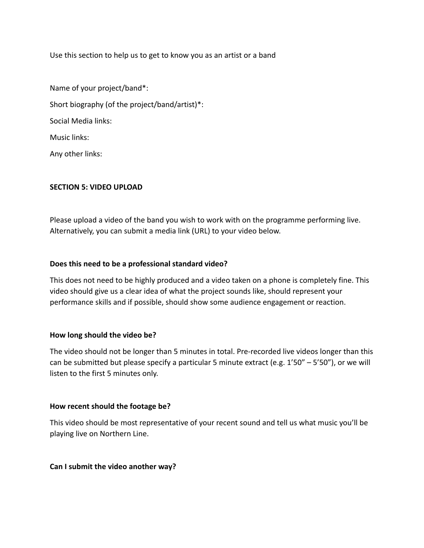Use this section to help us to get to know you as an artist or a band

Name of your project/band\*: Short biography (of the project/band/artist)\*: Social Media links: Music links: Any other links:

### **SECTION 5: VIDEO UPLOAD**

Please upload a video of the band you wish to work with on the programme performing live. Alternatively, you can submit a media link (URL) to your video below.

### **Does this need to be a professional standard video?**

This does not need to be highly produced and a video taken on a phone is completely fine. This video should give us a clear idea of what the project sounds like, should represent your performance skills and if possible, should show some audience engagement or reaction.

### **How long should the video be?**

The video should not be longer than 5 minutes in total. Pre-recorded live videos longer than this can be submitted but please specify a particular 5 minute extract (e.g. 1'50" – 5'50"), or we will listen to the first 5 minutes only.

#### **How recent should the footage be?**

This video should be most representative of your recent sound and tell us what music you'll be playing live on Northern Line.

#### **Can I submit the video another way?**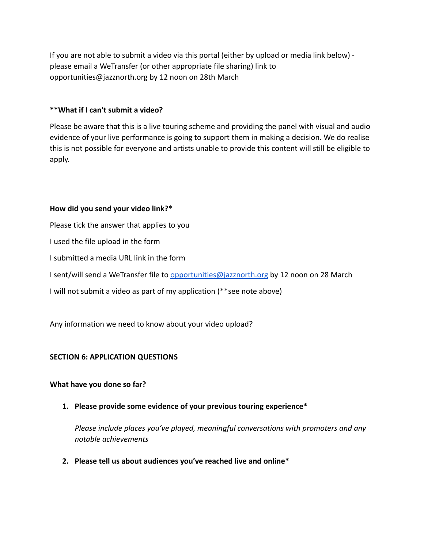If you are not able to submit a video via this portal (either by upload or media link below) please email a WeTransfer (or other appropriate file sharing) link to opportunities@jazznorth.org by 12 noon on 28th March

## **\*\*What if I can't submit a video?**

Please be aware that this is a live touring scheme and providing the panel with visual and audio evidence of your live performance is going to support them in making a decision. We do realise this is not possible for everyone and artists unable to provide this content will still be eligible to apply.

### **How did you send your video link?\***

Please tick the answer that applies to you I used the file upload in the form I submitted a media URL link in the form I sent/will send a WeTransfer file to [opportunities@jazznorth.org](mailto:opportunities@jazznorth.org) by 12 noon on 28 March I will not submit a video as part of my application (\*\*see note above)

Any information we need to know about your video upload?

## **SECTION 6: APPLICATION QUESTIONS**

### **What have you done so far?**

**1. Please provide some evidence of your previous touring experience\***

*Please include places you've played, meaningful conversations with promoters and any notable achievements*

**2. Please tell us about audiences you've reached live and online\***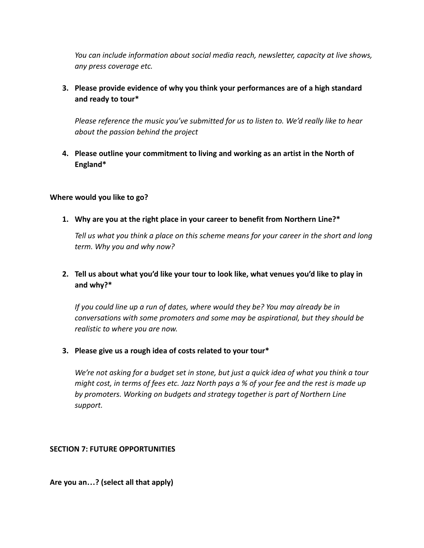*You can include information about social media reach, newsletter, capacity at live shows, any press coverage etc.*

# **3. Please provide evidence of why you think your performances are of a high standard and ready to tour\***

*Please reference the music you've submitted for us to listen to. We'd really like to hear about the passion behind the project*

# **4. Please outline your commitment to living and working as an artist in the North of England\***

## **Where would you like to go?**

**1. Why are you at the right place in your career to benefit from Northern Line?\***

*Tell us what you think a place on this scheme means for your career in the short and long term. Why you and why now?*

# **2. Tell us about what you'd like your tour to look like, what venues you'd like to play in and why?\***

*If you could line up a run of dates, where would they be? You may already be in conversations with some promoters and some may be aspirational, but they should be realistic to where you are now.*

### **3. Please give us a rough idea of costs related to your tour\***

*We're not asking for a budget set in stone, but just a quick idea of what you think a tour might cost, in terms of fees etc. Jazz North pays a % of your fee and the rest is made up by promoters. Working on budgets and strategy together is part of Northern Line support.*

## **SECTION 7: FUTURE OPPORTUNITIES**

**Are you an…? (select all that apply)**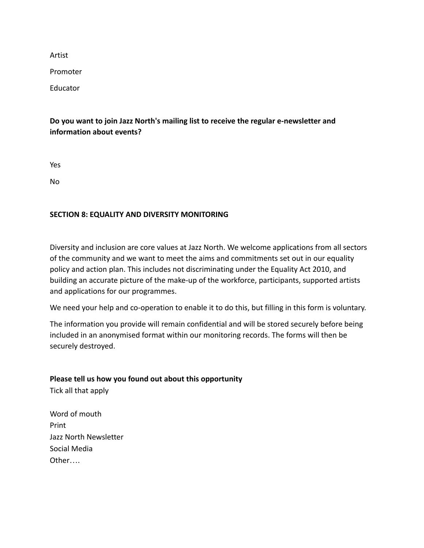Artist

Promoter

Educator

# **Do you want to join Jazz North's mailing list to receive the regular e-newsletter and information about events?**

Yes

No

## **SECTION 8: EQUALITY AND DIVERSITY MONITORING**

Diversity and inclusion are core values at Jazz North. We welcome applications from all sectors of the community and we want to meet the aims and commitments set out in our equality policy and action plan. This includes not discriminating under the Equality Act 2010, and building an accurate picture of the make-up of the workforce, participants, supported artists and applications for our programmes.

We need your help and co-operation to enable it to do this, but filling in this form is voluntary.

The information you provide will remain confidential and will be stored securely before being included in an anonymised format within our monitoring records. The forms will then be securely destroyed.

## **Please tell us how you found out about this opportunity**

Tick all that apply

Word of mouth Print Jazz North Newsletter Social Media Other….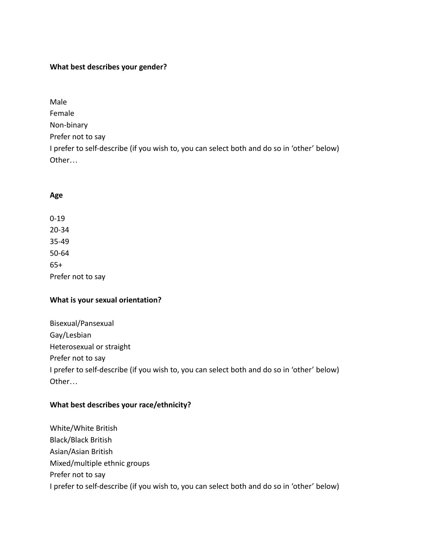## **What best describes your gender?**

Male Female Non-binary Prefer not to say I prefer to self-describe (if you wish to, you can select both and do so in 'other' below) Other…

### **Age**

0-19 20-34 35-49 50-64 65+ Prefer not to say

### **What is your sexual orientation?**

Bisexual/Pansexual Gay/Lesbian Heterosexual or straight Prefer not to say I prefer to self-describe (if you wish to, you can select both and do so in 'other' below) Other…

## **What best describes your race/ethnicity?**

White/White British Black/Black British Asian/Asian British Mixed/multiple ethnic groups Prefer not to say I prefer to self-describe (if you wish to, you can select both and do so in 'other' below)